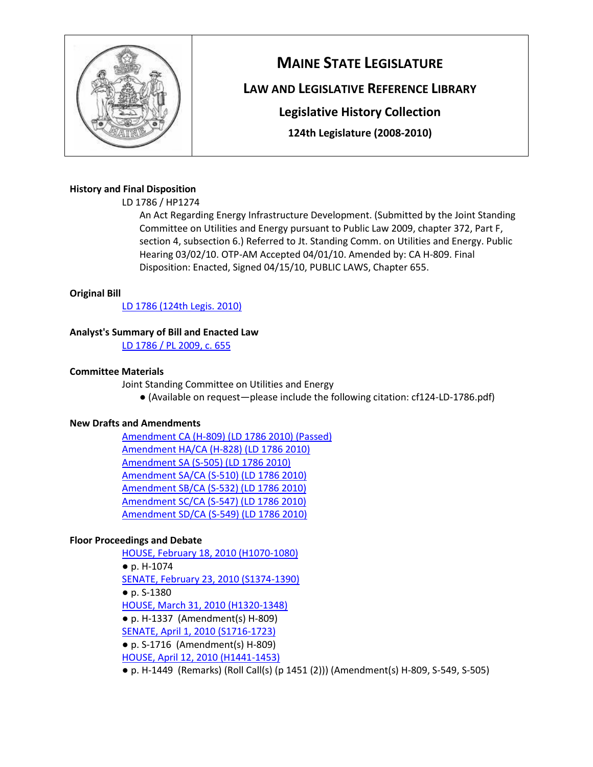

# **MAINE STATE LEGISLATURE**

# **LAW AND LEGISLATIVE REFERENCE LIBRARY**

**Legislative History Collection**

**124th Legislature (2008-2010)**

# **History and Final Disposition**

LD 1786 / HP1274

An Act Regarding Energy Infrastructure Development. (Submitted by the Joint Standing Committee on Utilities and Energy pursuant to Public Law 2009, chapter 372, Part F, section 4, subsection 6.) Referred to Jt. Standing Comm. on Utilities and Energy. Public Hearing 03/02/10. OTP-AM Accepted 04/01/10. Amended by: CA H-809. Final Disposition: Enacted, Signed 04/15/10, PUBLIC LAWS, Chapter 655.

#### **Original Bill**

[LD 1786 \(124th Legis. 2010\)](http://lldc.mainelegislature.org/Open/LDs/124/124-LD-1786.pdf)

# **Analyst's Summary of Bill and Enacted Law**

[LD 1786 / PL 2009, c. 655](http://lldc.mainelegislature.org/Open/Sums/124/sum124-LD-1786.pdf)

#### **Committee Materials**

Joint Standing Committee on Utilities and Energy

● (Available on request—please include the following citation: cf124-LD-1786.pdf)

# **New Drafts and Amendments**

[Amendment CA \(H-809\) \(LD 1786 2010\) \(Passed\)](http://lldc.mainelegislature.org/Open/LDs/124/124-LD-1786-CA_A_H809.pdf) [Amendment HA/CA \(H-828\) \(LD 1786 2010\)](http://lldc.mainelegislature.org/Open/LDs/124/124-LD-1786-CA_A-HA_A_H828.pdf) [Amendment SA \(S-505\) \(LD 1786 2010\)](http://lldc.mainelegislature.org/Open/LDs/124/124-LD-1786-SA_A_S505.pdf) [Amendment SA/CA \(S-510\) \(LD 1786 2010\)](http://lldc.mainelegislature.org/Open/LDs/124/124-LD-1786-CA_A-SA_A_S510.pdf) [Amendment SB/CA \(S-532\) \(LD 1786 2010\)](http://lldc.mainelegislature.org/Open/LDs/124/124-LD-1786-CA_A-SA_B_S532.pdf) [Amendment SC/CA \(S-547\) \(LD 1786 2010\)](http://lldc.mainelegislature.org/Open/LDs/124/124-LD-1786-CA_A-SA_C_S547.pdf) [Amendment SD/CA \(S-549\) \(LD 1786 2010\)](http://lldc.mainelegislature.org/Open/LDs/124/124-LD-1786-CA_A-SA_D_S549.pdf)

# **Floor Proceedings and Debate**

[HOUSE, February 18, 2010 \(H1070-1080\)](http://lldc.mainelegislature.org/Open/LegRec/124/House/LegRec_2010-02-18_HP_pH1070-1080.pdf) ● p. H-1074 [SENATE, February 23, 2010 \(S1374-1390\)](http://lldc.mainelegislature.org/Open/LegRec/124/Senate/LegRec_2010-02-23_SD_pS1374-1390.pdf) ● p. S-1380 [HOUSE, March 31, 2010 \(H1320-1348\)](http://lldc.mainelegislature.org/Open/LegRec/124/House/LegRec_2010-03-31_HP_pH1320-1348.pdf) ● p. H-1337 (Amendment(s) H-809) [SENATE, April 1, 2010 \(S1716-1723\)](http://lldc.mainelegislature.org/Open/LegRec/124/Senate/LegRec_2010-04-01_SD_pS1716-1723.pdf) ● p. S-1716 (Amendment(s) H-809) [HOUSE, April 12, 2010 \(H1441-1453\)](http://lldc.mainelegislature.org/Open/LegRec/124/House/LegRec_2010-04-12_HP_pH1441-1453.pdf) ● p. H-1449 (Remarks) (Roll Call(s) (p 1451 (2))) (Amendment(s) H-809, S-549, S-505)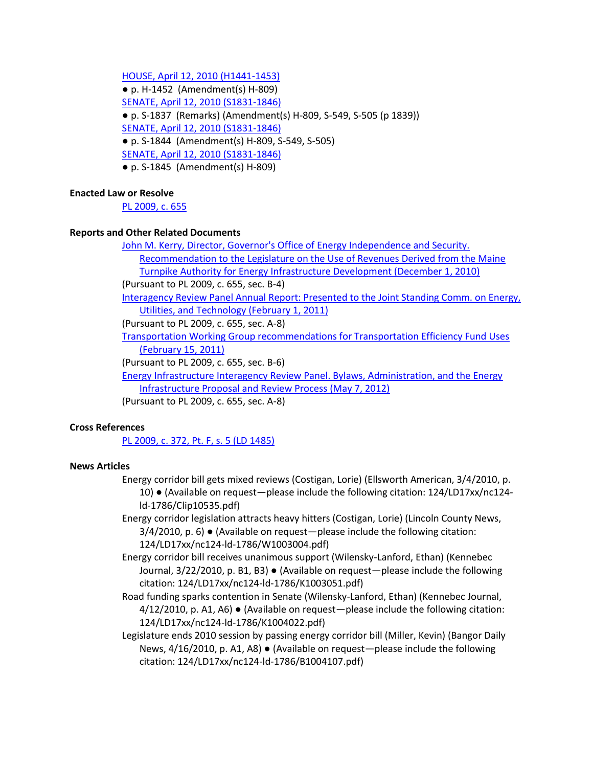[HOUSE, April 12, 2010 \(H1441-1453\)](http://lldc.mainelegislature.org/Open/LegRec/124/House/LegRec_2010-04-12_HP_pH1441-1453.pdf)

● p. H-1452 (Amendment(s) H-809) [SENATE, April 12, 2010 \(S1831-1846\)](http://lldc.mainelegislature.org/Open/LegRec/124/Senate/LegRec_2010-04-12_SD_pS1831-1846.pdf) ● p. S-1837 (Remarks) (Amendment(s) H-809, S-549, S-505 (p 1839)) [SENATE, April 12, 2010 \(S1831-1846\)](http://lldc.mainelegislature.org/Open/LegRec/124/Senate/LegRec_2010-04-12_SD_pS1831-1846.pdf) ● p. S-1844 (Amendment(s) H-809, S-549, S-505) [SENATE, April 12, 2010 \(S1831-1846\)](http://lldc.mainelegislature.org/Open/LegRec/124/Senate/LegRec_2010-04-12_SD_pS1831-1846.pdf) ● p. S-1845 (Amendment(s) H-809)

#### **Enacted Law or Resolve**

[PL 2009, c. 655](http://lldc.mainelegislature.org/Open/Laws/2009/2009_PL_c655.pdf)

#### **Reports and Other Related Documents**

[John M. Kerry, Director, Governor's Office of Energy Independence and Security.](http://lldc.mainelegislature.org/Open/Rpts/tj163_5_t7g67_2010.pdf)  [Recommendation to the Legislature on the Use of Revenues Derived from the Maine](http://lldc.mainelegislature.org/Open/Rpts/tj163_5_t7g67_2010.pdf)  [Turnpike Authority for Energy Infrastructure Development \(December 1, 2010\)](http://lldc.mainelegislature.org/Open/Rpts/tj163_5_t7g67_2010.pdf)

(Pursuant to PL 2009, c. 655, sec. B-4)

[Interagency Review Panel Annual Report: Presented to the Joint Standing Comm. on Energy,](http://lldc.mainelegislature.org/Open/Rpts/tj163_5_t7g68_2011.pdf)  [Utilities, and Technology \(February 1, 2011\)](http://lldc.mainelegislature.org/Open/Rpts/tj163_5_t7g68_2011.pdf)

(Pursuant to PL 2009, c. 655, sec. A-8)

[Transportation Working Group recommendations for Transportation Efficiency Fund Uses](http://lldc.mainelegislature.org/Open/Rpts/tj163_5_t7g66_2011.pdf)  [\(February 15, 2011\)](http://lldc.mainelegislature.org/Open/Rpts/tj163_5_t7g66_2011.pdf)

(Pursuant to PL 2009, c. 655, sec. B-6)

[Energy Infrastructure Interagency Review Panel. Bylaws, Administration, and the Energy](http://lldc.mainelegislature.org/Open/Rpts/tj163_5_t7g683_2012.pdf)  [Infrastructure Proposal and Review Process \(May 7, 2012\)](http://lldc.mainelegislature.org/Open/Rpts/tj163_5_t7g683_2012.pdf)

(Pursuant to PL 2009, c. 655, sec. A-8)

#### **Cross References**

[PL 2009, c. 372, Pt. F, s. 5 \(LD 1485\)](http://lldc.mainelegislature.org/Open/Meta/LegHist/124/lh124-LD-1485.pdf)

#### **News Articles**

- Energy corridor bill gets mixed reviews (Costigan, Lorie) (Ellsworth American, 3/4/2010, p. 10) ● (Available on request—please include the following citation: 124/LD17xx/nc124 ld-1786/Clip10535.pdf)
- Energy corridor legislation attracts heavy hitters (Costigan, Lorie) (Lincoln County News, 3/4/2010, p. 6) ● (Available on request—please include the following citation: 124/LD17xx/nc124-ld-1786/W1003004.pdf)
- Energy corridor bill receives unanimous support (Wilensky-Lanford, Ethan) (Kennebec Journal, 3/22/2010, p. B1, B3) ● (Available on request—please include the following citation: 124/LD17xx/nc124-ld-1786/K1003051.pdf)
- Road funding sparks contention in Senate (Wilensky-Lanford, Ethan) (Kennebec Journal, 4/12/2010, p. A1, A6) ● (Available on request—please include the following citation: 124/LD17xx/nc124-ld-1786/K1004022.pdf)

Legislature ends 2010 session by passing energy corridor bill (Miller, Kevin) (Bangor Daily News, 4/16/2010, p. A1, A8) ● (Available on request—please include the following citation: 124/LD17xx/nc124-ld-1786/B1004107.pdf)